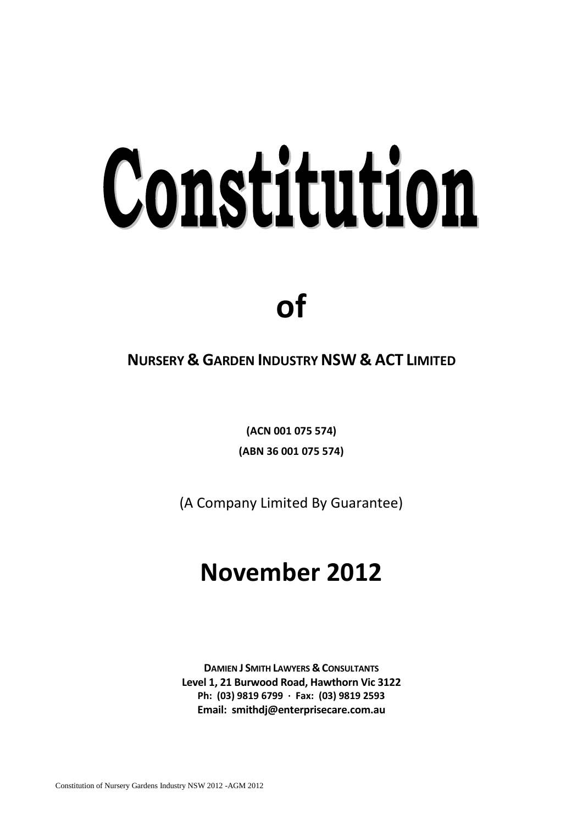# Constitution

# **of**

## **NURSERY & GARDEN INDUSTRY NSW & ACT LIMITED**

**(ACN 001 075 574) (ABN 36 001 075 574)**

(A Company Limited By Guarantee)

# **November 2012**

**DAMIEN J SMITH LAWYERS & CONSULTANTS Level 1, 21 Burwood Road, Hawthorn Vic 3122 Ph: (03) 9819 6799 · Fax: (03) 9819 2593 Email: smithdj@enterprisecare.com.au**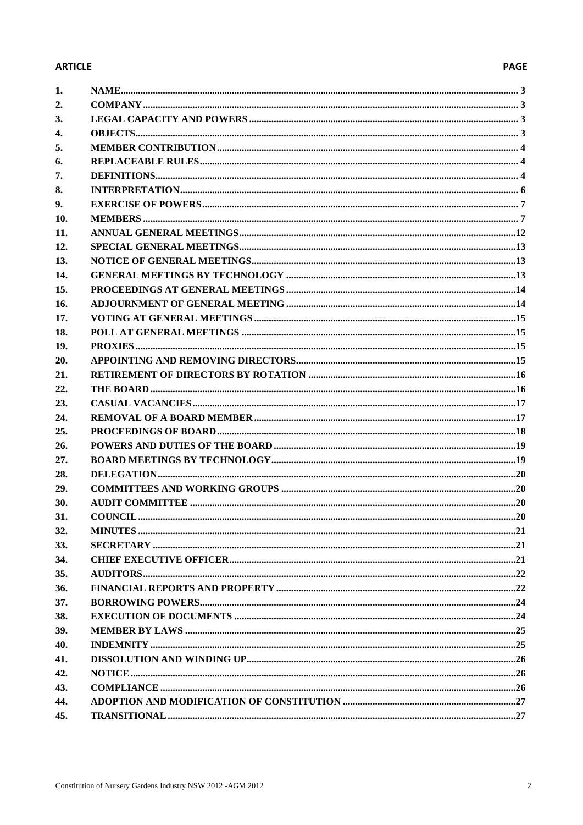### **ARTICLE**

### **PAGE**

| 1.           |  |
|--------------|--|
| 2.           |  |
| 3.           |  |
| $\mathbf{4}$ |  |
| 5.           |  |
| 6.           |  |
| 7.           |  |
| 8.           |  |
| 9.           |  |
| 10.          |  |
| 11.          |  |
| 12.          |  |
| 13.          |  |
| 14.          |  |
| 15.          |  |
| 16.          |  |
| 17.          |  |
| 18.          |  |
| 19.          |  |
| 20.          |  |
| 21.          |  |
| 22.          |  |
| 23.          |  |
| 24.          |  |
| 25.          |  |
| 26.          |  |
| 27.          |  |
| 28.          |  |
| 29.          |  |
| 30.          |  |
| 31.          |  |
| 32.          |  |
| 33.          |  |
| 34.          |  |
| 35.          |  |
| 36.          |  |
| 37.          |  |
| 38.          |  |
| 39.          |  |
| 40.          |  |
| 41.          |  |
| 42.          |  |
| 43.          |  |
| 44.          |  |
| 45.          |  |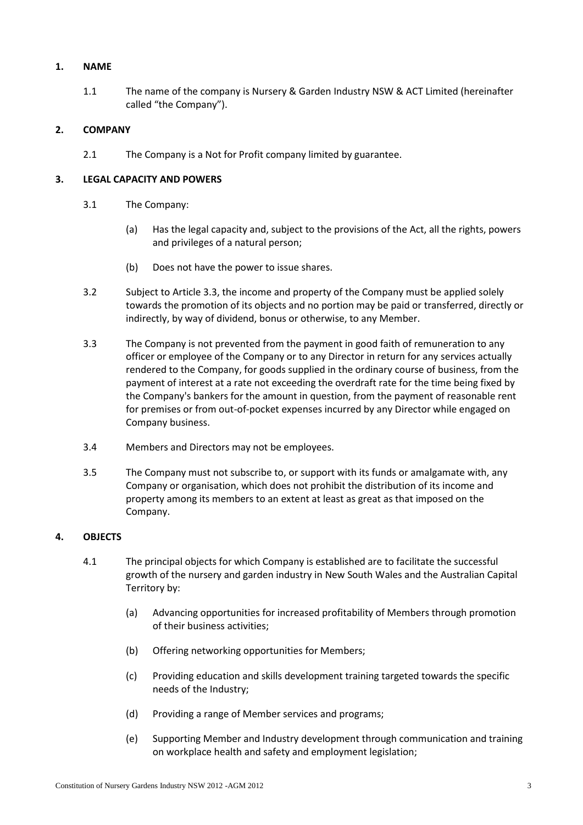### <span id="page-2-0"></span>**1. NAME**

1.1 The name of the company is Nursery & Garden Industry NSW & ACT Limited (hereinafter called "the Company").

### <span id="page-2-1"></span>**2. COMPANY**

2.1 The Company is a Not for Profit company limited by guarantee.

### <span id="page-2-2"></span>**3. LEGAL CAPACITY AND POWERS**

- 3.1 The Company:
	- (a) Has the legal capacity and, subject to the provisions of the Act, all the rights, powers and privileges of a natural person;
	- (b) Does not have the power to issue shares.
- <span id="page-2-5"></span>3.2 Subject to Article [3.3,](#page-2-4) the income and property of the Company must be applied solely towards the promotion of its objects and no portion may be paid or transferred, directly or indirectly, by way of dividend, bonus or otherwise, to any Member.
- <span id="page-2-4"></span>3.3 The Company is not prevented from the payment in good faith of remuneration to any officer or employee of the Company or to any Director in return for any services actually rendered to the Company, for goods supplied in the ordinary course of business, from the payment of interest at a rate not exceeding the overdraft rate for the time being fixed by the Company's bankers for the amount in question, from the payment of reasonable rent for premises or from out-of-pocket expenses incurred by any Director while engaged on Company business.
- 3.4 Members and Directors may not be employees.
- 3.5 The Company must not subscribe to, or support with its funds or amalgamate with, any Company or organisation, which does not prohibit the distribution of its income and property among its members to an extent at least as great as that imposed on the Company.

### <span id="page-2-3"></span>**4. OBJECTS**

- 4.1 The principal objects for which Company is established are to facilitate the successful growth of the nursery and garden industry in New South Wales and the Australian Capital Territory by:
	- (a) Advancing opportunities for increased profitability of Members through promotion of their business activities;
	- (b) Offering networking opportunities for Members;
	- (c) Providing education and skills development training targeted towards the specific needs of the Industry;
	- (d) Providing a range of Member services and programs;
	- (e) Supporting Member and Industry development through communication and training on workplace health and safety and employment legislation;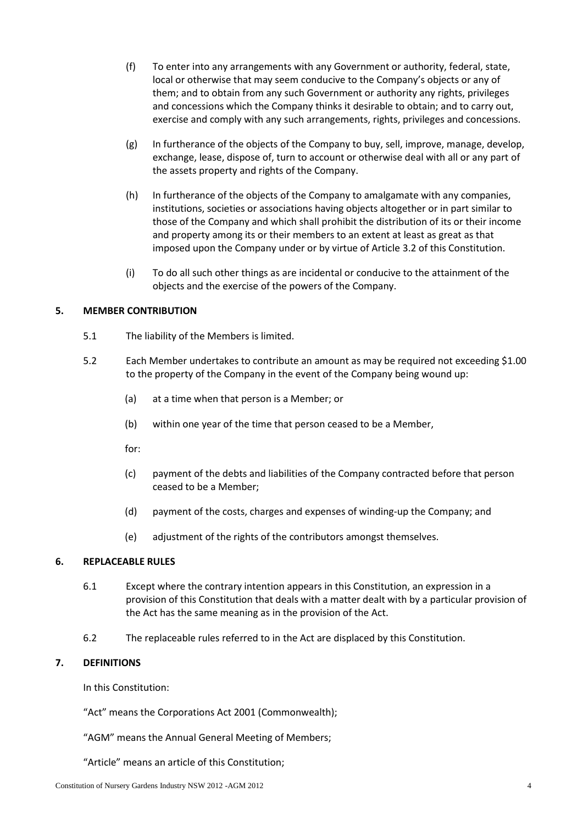- (f) To enter into any arrangements with any Government or authority, federal, state, local or otherwise that may seem conducive to the Company's objects or any of them; and to obtain from any such Government or authority any rights, privileges and concessions which the Company thinks it desirable to obtain; and to carry out, exercise and comply with any such arrangements, rights, privileges and concessions.
- (g) In furtherance of the objects of the Company to buy, sell, improve, manage, develop, exchange, lease, dispose of, turn to account or otherwise deal with all or any part of the assets property and rights of the Company.
- (h) In furtherance of the objects of the Company to amalgamate with any companies, institutions, societies or associations having objects altogether or in part similar to those of the Company and which shall prohibit the distribution of its or their income and property among its or their members to an extent at least as great as that imposed upon the Company under or by virtue of Article [3.2](#page-2-5) of this Constitution.
- (i) To do all such other things as are incidental or conducive to the attainment of the objects and the exercise of the powers of the Company.

### <span id="page-3-0"></span>**5. MEMBER CONTRIBUTION**

- 5.1 The liability of the Members is limited.
- 5.2 Each Member undertakes to contribute an amount as may be required not exceeding \$1.00 to the property of the Company in the event of the Company being wound up:
	- (a) at a time when that person is a Member; or
	- (b) within one year of the time that person ceased to be a Member,
	- for:
	- (c) payment of the debts and liabilities of the Company contracted before that person ceased to be a Member;
	- (d) payment of the costs, charges and expenses of winding-up the Company; and
	- (e) adjustment of the rights of the contributors amongst themselves.

### <span id="page-3-1"></span>**6. REPLACEABLE RULES**

- 6.1 Except where the contrary intention appears in this Constitution, an expression in a provision of this Constitution that deals with a matter dealt with by a particular provision of the Act has the same meaning as in the provision of the Act.
- 6.2 The replaceable rules referred to in the Act are displaced by this Constitution.

### <span id="page-3-2"></span>**7. DEFINITIONS**

In this Constitution:

"Act" means the Corporations Act 2001 (Commonwealth);

"AGM" means the Annual General Meeting of Members;

"Article" means an article of this Constitution;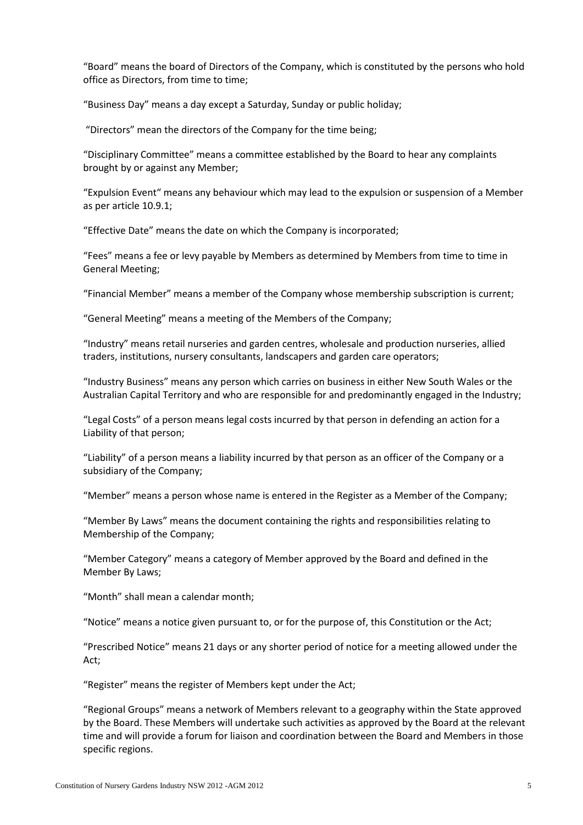"Board" means the board of Directors of the Company, which is constituted by the persons who hold office as Directors, from time to time;

"Business Day" means a day except a Saturday, Sunday or public holiday;

"Directors" mean the directors of the Company for the time being;

"Disciplinary Committee" means a committee established by the Board to hear any complaints brought by or against any Member;

"Expulsion Event" means any behaviour which may lead to the expulsion or suspension of a Member as per article [10.9.1;](#page-9-0)

"Effective Date" means the date on which the Company is incorporated;

"Fees" means a fee or levy payable by Members as determined by Members from time to time in General Meeting;

"Financial Member" means a member of the Company whose membership subscription is current;

"General Meeting" means a meeting of the Members of the Company;

"Industry" means retail nurseries and garden centres, wholesale and production nurseries, allied traders, institutions, nursery consultants, landscapers and garden care operators;

"Industry Business" means any person which carries on business in either New South Wales or the Australian Capital Territory and who are responsible for and predominantly engaged in the Industry;

"Legal Costs" of a person means legal costs incurred by that person in defending an action for a Liability of that person;

"Liability" of a person means a liability incurred by that person as an officer of the Company or a subsidiary of the Company;

"Member" means a person whose name is entered in the Register as a Member of the Company;

"Member By Laws" means the document containing the rights and responsibilities relating to Membership of the Company;

"Member Category" means a category of Member approved by the Board and defined in the Member By Laws;

"Month" shall mean a calendar month;

"Notice" means a notice given pursuant to, or for the purpose of, this Constitution or the Act;

"Prescribed Notice" means 21 days or any shorter period of notice for a meeting allowed under the Act;

"Register" means the register of Members kept under the Act;

"Regional Groups" means a network of Members relevant to a geography within the State approved by the Board. These Members will undertake such activities as approved by the Board at the relevant time and will provide a forum for liaison and coordination between the Board and Members in those specific regions.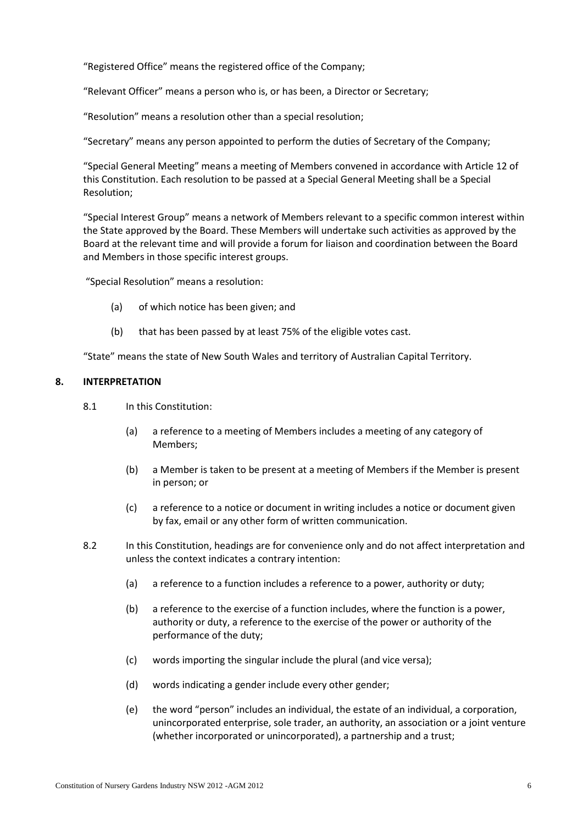"Registered Office" means the registered office of the Company;

"Relevant Officer" means a person who is, or has been, a Director or Secretary;

"Resolution" means a resolution other than a special resolution;

"Secretary" means any person appointed to perform the duties of Secretary of the Company;

"Special General Meeting" means a meeting of Members convened in accordance with Article [12](#page-12-0) of this Constitution. Each resolution to be passed at a Special General Meeting shall be a Special Resolution;

"Special Interest Group" means a network of Members relevant to a specific common interest within the State approved by the Board. These Members will undertake such activities as approved by the Board at the relevant time and will provide a forum for liaison and coordination between the Board and Members in those specific interest groups.

"Special Resolution" means a resolution:

- (a) of which notice has been given; and
- (b) that has been passed by at least 75% of the eligible votes cast.

"State" means the state of New South Wales and territory of Australian Capital Territory.

### <span id="page-5-0"></span>**8. INTERPRETATION**

- 8.1 In this Constitution:
	- (a) a reference to a meeting of Members includes a meeting of any category of Members;
	- (b) a Member is taken to be present at a meeting of Members if the Member is present in person; or
	- (c) a reference to a notice or document in writing includes a notice or document given by fax, email or any other form of written communication.
- 8.2 In this Constitution, headings are for convenience only and do not affect interpretation and unless the context indicates a contrary intention:
	- (a) a reference to a function includes a reference to a power, authority or duty;
	- (b) a reference to the exercise of a function includes, where the function is a power, authority or duty, a reference to the exercise of the power or authority of the performance of the duty;
	- (c) words importing the singular include the plural (and vice versa);
	- (d) words indicating a gender include every other gender;
	- (e) the word "person" includes an individual, the estate of an individual, a corporation, unincorporated enterprise, sole trader, an authority, an association or a joint venture (whether incorporated or unincorporated), a partnership and a trust;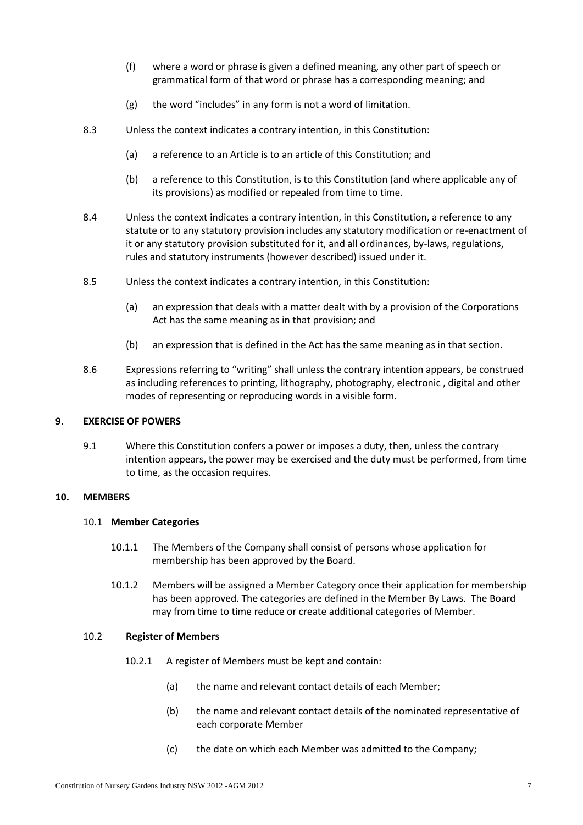- (f) where a word or phrase is given a defined meaning, any other part of speech or grammatical form of that word or phrase has a corresponding meaning; and
- (g) the word "includes" in any form is not a word of limitation.
- 8.3 Unless the context indicates a contrary intention, in this Constitution:
	- (a) a reference to an Article is to an article of this Constitution; and
	- (b) a reference to this Constitution, is to this Constitution (and where applicable any of its provisions) as modified or repealed from time to time.
- 8.4 Unless the context indicates a contrary intention, in this Constitution, a reference to any statute or to any statutory provision includes any statutory modification or re-enactment of it or any statutory provision substituted for it, and all ordinances, by-laws, regulations, rules and statutory instruments (however described) issued under it.
- 8.5 Unless the context indicates a contrary intention, in this Constitution:
	- (a) an expression that deals with a matter dealt with by a provision of the Corporations Act has the same meaning as in that provision; and
	- (b) an expression that is defined in the Act has the same meaning as in that section.
- 8.6 Expressions referring to "writing" shall unless the contrary intention appears, be construed as including references to printing, lithography, photography, electronic , digital and other modes of representing or reproducing words in a visible form.

### <span id="page-6-0"></span>**9. EXERCISE OF POWERS**

9.1 Where this Constitution confers a power or imposes a duty, then, unless the contrary intention appears, the power may be exercised and the duty must be performed, from time to time, as the occasion requires.

### <span id="page-6-1"></span>**10. MEMBERS**

### 10.1 **Member Categories**

- 10.1.1 The Members of the Company shall consist of persons whose application for membership has been approved by the Board.
- 10.1.2 Members will be assigned a Member Category once their application for membership has been approved. The categories are defined in the Member By Laws. The Board may from time to time reduce or create additional categories of Member.

### 10.2 **Register of Members**

- 10.2.1 A register of Members must be kept and contain:
	- (a) the name and relevant contact details of each Member;
	- (b) the name and relevant contact details of the nominated representative of each corporate Member
	- (c) the date on which each Member was admitted to the Company;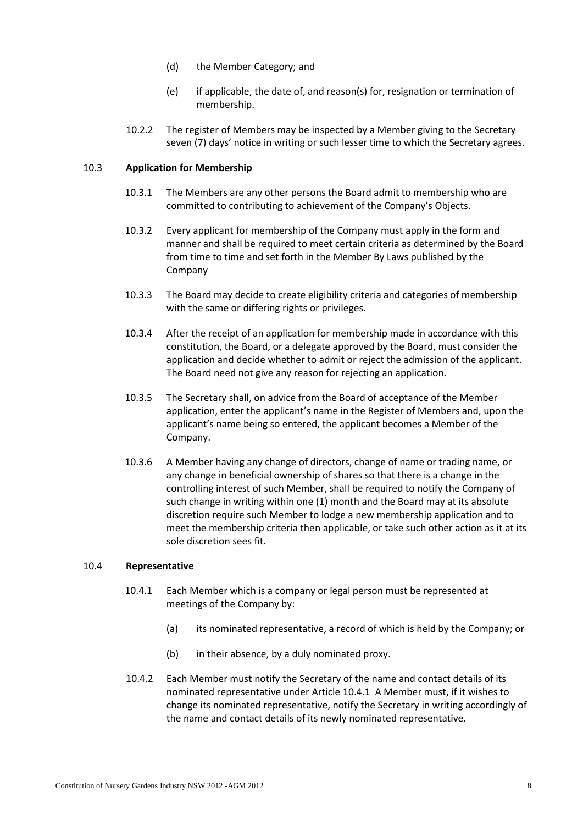- (d) the Member Category; and
- (e) if applicable, the date of, and reason(s) for, resignation or termination of membership.
- 10.2.2 The register of Members may be inspected by a Member giving to the Secretary seven (7) days' notice in writing or such lesser time to which the Secretary agrees.

### 10.3 **Application for Membership**

- 10.3.1 The Members are any other persons the Board admit to membership who are committed to contributing to achievement of the Company's Objects.
- 10.3.2 Every applicant for membership of the Company must apply in the form and manner and shall be required to meet certain criteria as determined by the Board from time to time and set forth in the Member By Laws published by the Company
- 10.3.3 The Board may decide to create eligibility criteria and categories of membership with the same or differing rights or privileges.
- 10.3.4 After the receipt of an application for membership made in accordance with this constitution, the Board, or a delegate approved by the Board, must consider the application and decide whether to admit or reject the admission of the applicant. The Board need not give any reason for rejecting an application.
- 10.3.5 The Secretary shall, on advice from the Board of acceptance of the Member application, enter the applicant's name in the Register of Members and, upon the applicant's name being so entered, the applicant becomes a Member of the Company.
- <span id="page-7-1"></span>10.3.6 A Member having any change of directors, change of name or trading name, or any change in beneficial ownership of shares so that there is a change in the controlling interest of such Member, shall be required to notify the Company of such change in writing within one (1) month and the Board may at its absolute discretion require such Member to lodge a new membership application and to meet the membership criteria then applicable, or take such other action as it at its sole discretion sees fit.

### <span id="page-7-0"></span>10.4 **Representative**

- 10.4.1 Each Member which is a company or legal person must be represented at meetings of the Company by:
	- (a) its nominated representative, a record of which is held by the Company; or
	- (b) in their absence, by a duly nominated proxy.
- 10.4.2 Each Member must notify the Secretary of the name and contact details of its nominated representative under Article [10.4.1](#page-7-0) A Member must, if it wishes to change its nominated representative, notify the Secretary in writing accordingly of the name and contact details of its newly nominated representative.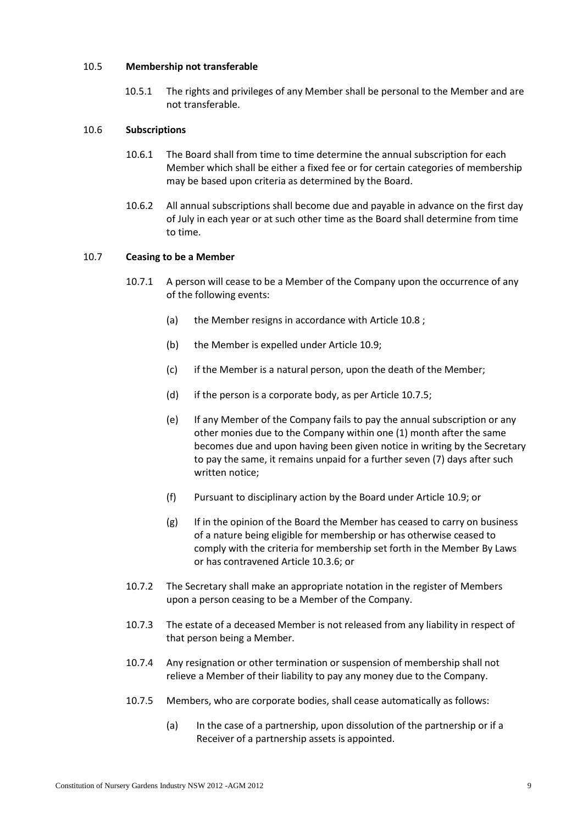### 10.5 **Membership not transferable**

10.5.1 The rights and privileges of any Member shall be personal to the Member and are not transferable.

### 10.6 **Subscriptions**

- 10.6.1 The Board shall from time to time determine the annual subscription for each Member which shall be either a fixed fee or for certain categories of membership may be based upon criteria as determined by the Board.
- 10.6.2 All annual subscriptions shall become due and payable in advance on the first day of July in each year or at such other time as the Board shall determine from time to time.

### 10.7 **Ceasing to be a Member**

- 10.7.1 A person will cease to be a Member of the Company upon the occurrence of any of the following events:
	- (a) the Member resigns in accordance with Article [10.8](#page-9-1) ;
	- (b) the Member is expelled under Articl[e 10.9;](#page-9-2)
	- (c) if the Member is a natural person, upon the death of the Member;
	- (d) if the person is a corporate body, as per Article [10.7.5;](#page-8-0)
	- (e) If any Member of the Company fails to pay the annual subscription or any other monies due to the Company within one (1) month after the same becomes due and upon having been given notice in writing by the Secretary to pay the same, it remains unpaid for a further seven (7) days after such written notice;
	- (f) Pursuant to disciplinary action by the Board under Articl[e 10.9;](#page-9-2) or
	- (g) If in the opinion of the Board the Member has ceased to carry on business of a nature being eligible for membership or has otherwise ceased to comply with the criteria for membership set forth in the Member By Laws or has contravened Article [10.3.6;](#page-7-1) or
- 10.7.2 The Secretary shall make an appropriate notation in the register of Members upon a person ceasing to be a Member of the Company.
- 10.7.3 The estate of a deceased Member is not released from any liability in respect of that person being a Member.
- 10.7.4 Any resignation or other termination or suspension of membership shall not relieve a Member of their liability to pay any money due to the Company.
- <span id="page-8-0"></span>10.7.5 Members, who are corporate bodies, shall cease automatically as follows:
	- (a) In the case of a partnership, upon dissolution of the partnership or if a Receiver of a partnership assets is appointed.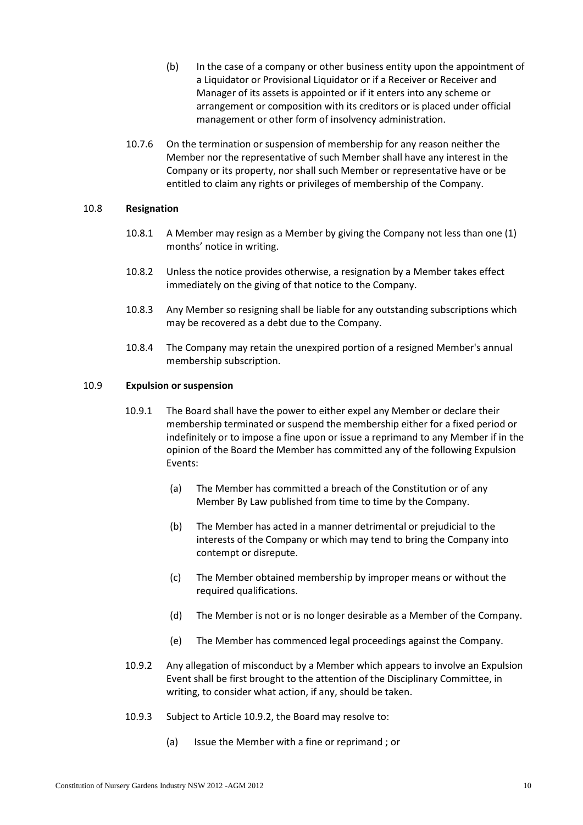- (b) In the case of a company or other business entity upon the appointment of a Liquidator or Provisional Liquidator or if a Receiver or Receiver and Manager of its assets is appointed or if it enters into any scheme or arrangement or composition with its creditors or is placed under official management or other form of insolvency administration.
- 10.7.6 On the termination or suspension of membership for any reason neither the Member nor the representative of such Member shall have any interest in the Company or its property, nor shall such Member or representative have or be entitled to claim any rights or privileges of membership of the Company.

### <span id="page-9-1"></span>10.8 **Resignation**

- 10.8.1 A Member may resign as a Member by giving the Company not less than one (1) months' notice in writing.
- 10.8.2 Unless the notice provides otherwise, a resignation by a Member takes effect immediately on the giving of that notice to the Company.
- 10.8.3 Any Member so resigning shall be liable for any outstanding subscriptions which may be recovered as a debt due to the Company.
- 10.8.4 The Company may retain the unexpired portion of a resigned Member's annual membership subscription.

### <span id="page-9-2"></span><span id="page-9-0"></span>10.9 **Expulsion or suspension**

- 10.9.1 The Board shall have the power to either expel any Member or declare their membership terminated or suspend the membership either for a fixed period or indefinitely or to impose a fine upon or issue a reprimand to any Member if in the opinion of the Board the Member has committed any of the following Expulsion Events:
	- (a) The Member has committed a breach of the Constitution or of any Member By Law published from time to time by the Company.
	- (b) The Member has acted in a manner detrimental or prejudicial to the interests of the Company or which may tend to bring the Company into contempt or disrepute.
	- (c) The Member obtained membership by improper means or without the required qualifications.
	- (d) The Member is not or is no longer desirable as a Member of the Company.
	- (e) The Member has commenced legal proceedings against the Company.
- <span id="page-9-3"></span>10.9.2 Any allegation of misconduct by a Member which appears to involve an Expulsion Event shall be first brought to the attention of the Disciplinary Committee, in writing, to consider what action, if any, should be taken.
- <span id="page-9-4"></span>10.9.3 Subject to Article [10.9.2,](#page-9-3) the Board may resolve to:
	- (a) Issue the Member with a fine or reprimand ; or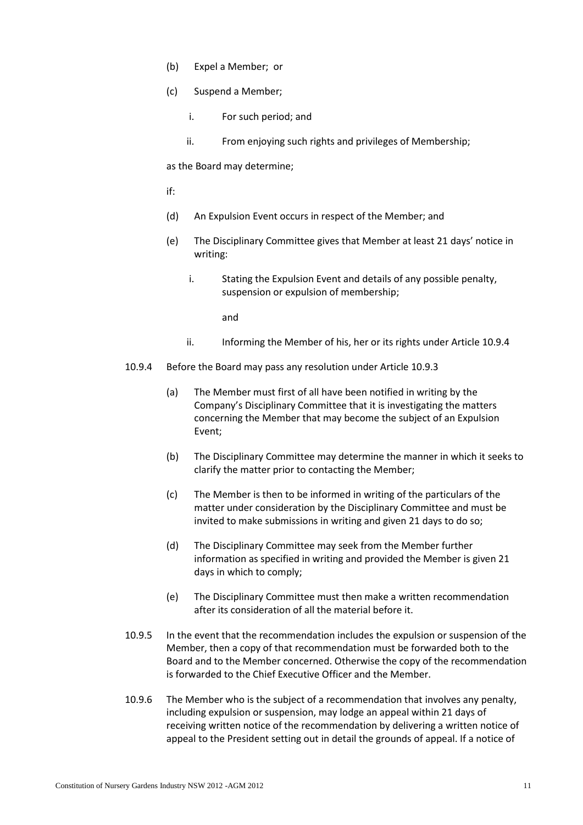- (b) Expel a Member; or
- (c) Suspend a Member;
	- i. For such period; and
	- ii. From enjoying such rights and privileges of Membership;

as the Board may determine;

if:

- (d) An Expulsion Event occurs in respect of the Member; and
- (e) The Disciplinary Committee gives that Member at least 21 days' notice in writing:
	- i. Stating the Expulsion Event and details of any possible penalty, suspension or expulsion of membership;

and

- ii. Informing the Member of his, her or its rights under Articl[e 10.9.4](#page-10-0)
- <span id="page-10-0"></span>10.9.4 Before the Board may pass any resolution under Article [10.9.3](#page-9-4)
	- (a) The Member must first of all have been notified in writing by the Company's Disciplinary Committee that it is investigating the matters concerning the Member that may become the subject of an Expulsion Event;
	- (b) The Disciplinary Committee may determine the manner in which it seeks to clarify the matter prior to contacting the Member;
	- (c) The Member is then to be informed in writing of the particulars of the matter under consideration by the Disciplinary Committee and must be invited to make submissions in writing and given 21 days to do so;
	- (d) The Disciplinary Committee may seek from the Member further information as specified in writing and provided the Member is given 21 days in which to comply;
	- (e) The Disciplinary Committee must then make a written recommendation after its consideration of all the material before it.
- 10.9.5 In the event that the recommendation includes the expulsion or suspension of the Member, then a copy of that recommendation must be forwarded both to the Board and to the Member concerned. Otherwise the copy of the recommendation is forwarded to the Chief Executive Officer and the Member.
- 10.9.6 The Member who is the subject of a recommendation that involves any penalty, including expulsion or suspension, may lodge an appeal within 21 days of receiving written notice of the recommendation by delivering a written notice of appeal to the President setting out in detail the grounds of appeal. If a notice of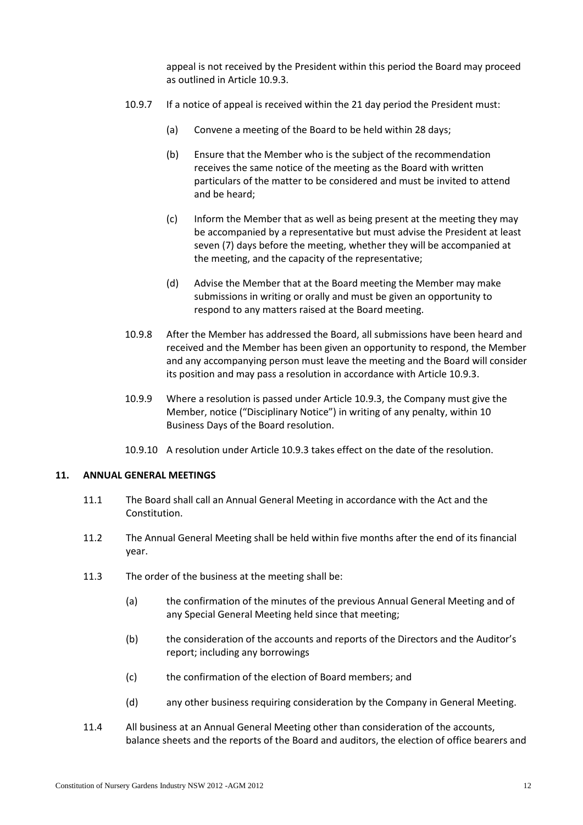appeal is not received by the President within this period the Board may proceed as outlined in Articl[e 10.9.3.](#page-9-4)

- 10.9.7 If a notice of appeal is received within the 21 day period the President must:
	- (a) Convene a meeting of the Board to be held within 28 days;
	- (b) Ensure that the Member who is the subject of the recommendation receives the same notice of the meeting as the Board with written particulars of the matter to be considered and must be invited to attend and be heard;
	- (c) Inform the Member that as well as being present at the meeting they may be accompanied by a representative but must advise the President at least seven (7) days before the meeting, whether they will be accompanied at the meeting, and the capacity of the representative;
	- (d) Advise the Member that at the Board meeting the Member may make submissions in writing or orally and must be given an opportunity to respond to any matters raised at the Board meeting.
- 10.9.8 After the Member has addressed the Board, all submissions have been heard and received and the Member has been given an opportunity to respond, the Member and any accompanying person must leave the meeting and the Board will consider its position and may pass a resolution in accordance with Article [10.9.3.](#page-9-4)
- 10.9.9 Where a resolution is passed under Article [10.9.3,](#page-9-4) the Company must give the Member, notice ("Disciplinary Notice") in writing of any penalty, within 10 Business Days of the Board resolution.
- 10.9.10 A resolution under Articl[e 10.9.3](#page-9-4) takes effect on the date of the resolution.

### <span id="page-11-0"></span>**11. ANNUAL GENERAL MEETINGS**

- 11.1 The Board shall call an Annual General Meeting in accordance with the Act and the Constitution.
- 11.2 The Annual General Meeting shall be held within five months after the end of its financial year.
- 11.3 The order of the business at the meeting shall be:
	- (a) the confirmation of the minutes of the previous Annual General Meeting and of any Special General Meeting held since that meeting;
	- (b) the consideration of the accounts and reports of the Directors and the Auditor's report; including any borrowings
	- (c) the confirmation of the election of Board members; and
	- (d) any other business requiring consideration by the Company in General Meeting.
- 11.4 All business at an Annual General Meeting other than consideration of the accounts, balance sheets and the reports of the Board and auditors, the election of office bearers and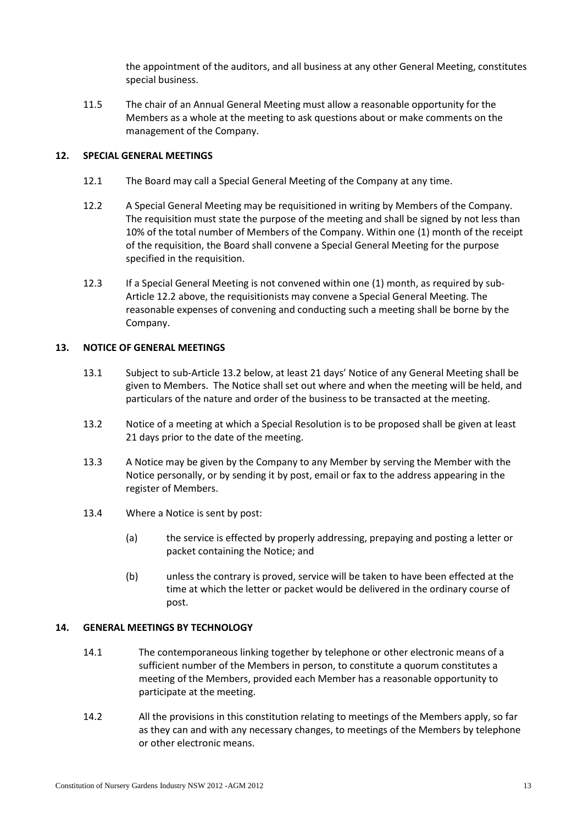the appointment of the auditors, and all business at any other General Meeting, constitutes special business.

11.5 The chair of an Annual General Meeting must allow a reasonable opportunity for the Members as a whole at the meeting to ask questions about or make comments on the management of the Company.

### <span id="page-12-0"></span>**12. SPECIAL GENERAL MEETINGS**

- 12.1 The Board may call a Special General Meeting of the Company at any time.
- <span id="page-12-3"></span>12.2 A Special General Meeting may be requisitioned in writing by Members of the Company. The requisition must state the purpose of the meeting and shall be signed by not less than 10% of the total number of Members of the Company. Within one (1) month of the receipt of the requisition, the Board shall convene a Special General Meeting for the purpose specified in the requisition.
- 12.3 If a Special General Meeting is not convened within one (1) month, as required by sub-Article [12.2](#page-12-3) [above,](#page-12-3) the requisitionists may convene a Special General Meeting. The reasonable expenses of convening and conducting such a meeting shall be borne by the Company.

### <span id="page-12-1"></span>**13. NOTICE OF GENERAL MEETINGS**

- 13.1 Subject to sub-Article [13.2](#page-12-4) [below,](#page-12-4) at least 21 days' Notice of any General Meeting shall be given to Members. The Notice shall set out where and when the meeting will be held, and particulars of the nature and order of the business to be transacted at the meeting.
- <span id="page-12-4"></span>13.2 Notice of a meeting at which a Special Resolution is to be proposed shall be given at least 21 days prior to the date of the meeting.
- 13.3 A Notice may be given by the Company to any Member by serving the Member with the Notice personally, or by sending it by post, email or fax to the address appearing in the register of Members.
- 13.4 Where a Notice is sent by post:
	- (a) the service is effected by properly addressing, prepaying and posting a letter or packet containing the Notice; and
	- (b) unless the contrary is proved, service will be taken to have been effected at the time at which the letter or packet would be delivered in the ordinary course of post.

### <span id="page-12-2"></span>**14. GENERAL MEETINGS BY TECHNOLOGY**

- 14.1 The contemporaneous linking together by telephone or other electronic means of a sufficient number of the Members in person, to constitute a quorum constitutes a meeting of the Members, provided each Member has a reasonable opportunity to participate at the meeting.
- 14.2 All the provisions in this constitution relating to meetings of the Members apply, so far as they can and with any necessary changes, to meetings of the Members by telephone or other electronic means.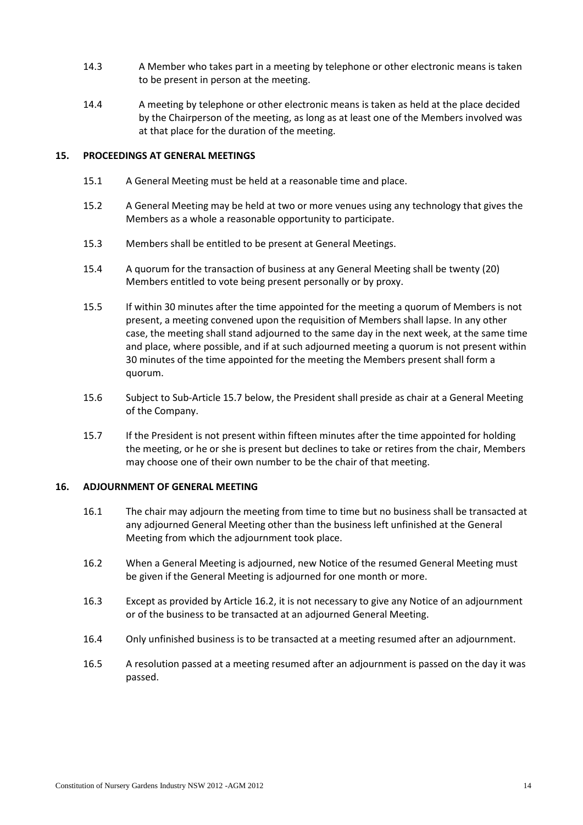- 14.3 A Member who takes part in a meeting by telephone or other electronic means is taken to be present in person at the meeting.
- 14.4 A meeting by telephone or other electronic means is taken as held at the place decided by the Chairperson of the meeting, as long as at least one of the Members involved was at that place for the duration of the meeting.

### <span id="page-13-0"></span>**15. PROCEEDINGS AT GENERAL MEETINGS**

- 15.1 A General Meeting must be held at a reasonable time and place.
- 15.2 A General Meeting may be held at two or more venues using any technology that gives the Members as a whole a reasonable opportunity to participate.
- 15.3 Members shall be entitled to be present at General Meetings.
- 15.4 A quorum for the transaction of business at any General Meeting shall be twenty (20) Members entitled to vote being present personally or by proxy.
- 15.5 If within 30 minutes after the time appointed for the meeting a quorum of Members is not present, a meeting convened upon the requisition of Members shall lapse. In any other case, the meeting shall stand adjourned to the same day in the next week, at the same time and place, where possible, and if at such adjourned meeting a quorum is not present within 30 minutes of the time appointed for the meeting the Members present shall form a quorum.
- 15.6 Subject to Sub-Articl[e 15.7](#page-13-2) [below,](#page-13-2) the President shall preside as chair at a General Meeting of the Company.
- <span id="page-13-2"></span>15.7 If the President is not present within fifteen minutes after the time appointed for holding the meeting, or he or she is present but declines to take or retires from the chair, Members may choose one of their own number to be the chair of that meeting.

### <span id="page-13-1"></span>**16. ADJOURNMENT OF GENERAL MEETING**

- 16.1 The chair may adjourn the meeting from time to time but no business shall be transacted at any adjourned General Meeting other than the business left unfinished at the General Meeting from which the adjournment took place.
- <span id="page-13-3"></span>16.2 When a General Meeting is adjourned, new Notice of the resumed General Meeting must be given if the General Meeting is adjourned for one month or more.
- 16.3 Except as provided by Article [16.2,](#page-13-3) it is not necessary to give any Notice of an adjournment or of the business to be transacted at an adjourned General Meeting.
- 16.4 Only unfinished business is to be transacted at a meeting resumed after an adjournment.
- 16.5 A resolution passed at a meeting resumed after an adjournment is passed on the day it was passed.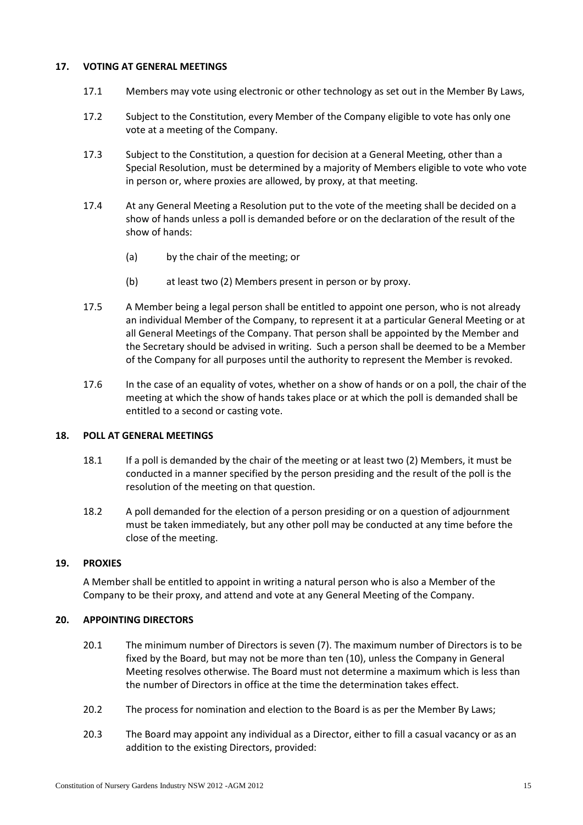### <span id="page-14-0"></span>**17. VOTING AT GENERAL MEETINGS**

- 17.1 Members may vote using electronic or other technology as set out in the Member By Laws,
- 17.2 Subject to the Constitution, every Member of the Company eligible to vote has only one vote at a meeting of the Company.
- 17.3 Subject to the Constitution, a question for decision at a General Meeting, other than a Special Resolution, must be determined by a majority of Members eligible to vote who vote in person or, where proxies are allowed, by proxy, at that meeting.
- 17.4 At any General Meeting a Resolution put to the vote of the meeting shall be decided on a show of hands unless a poll is demanded before or on the declaration of the result of the show of hands:
	- (a) by the chair of the meeting; or
	- (b) at least two (2) Members present in person or by proxy.
- 17.5 A Member being a legal person shall be entitled to appoint one person, who is not already an individual Member of the Company, to represent it at a particular General Meeting or at all General Meetings of the Company. That person shall be appointed by the Member and the Secretary should be advised in writing. Such a person shall be deemed to be a Member of the Company for all purposes until the authority to represent the Member is revoked.
- 17.6 In the case of an equality of votes, whether on a show of hands or on a poll, the chair of the meeting at which the show of hands takes place or at which the poll is demanded shall be entitled to a second or casting vote.

### <span id="page-14-1"></span>**18. POLL AT GENERAL MEETINGS**

- 18.1 If a poll is demanded by the chair of the meeting or at least two (2) Members, it must be conducted in a manner specified by the person presiding and the result of the poll is the resolution of the meeting on that question.
- 18.2 A poll demanded for the election of a person presiding or on a question of adjournment must be taken immediately, but any other poll may be conducted at any time before the close of the meeting.

### <span id="page-14-2"></span>**19. PROXIES**

A Member shall be entitled to appoint in writing a natural person who is also a Member of the Company to be their proxy, and attend and vote at any General Meeting of the Company.

### <span id="page-14-4"></span><span id="page-14-3"></span>**20. APPOINTING DIRECTORS**

- 20.1 The minimum number of Directors is seven (7). The maximum number of Directors is to be fixed by the Board, but may not be more than ten (10), unless the Company in General Meeting resolves otherwise. The Board must not determine a maximum which is less than the number of Directors in office at the time the determination takes effect.
- 20.2 The process for nomination and election to the Board is as per the Member By Laws;
- <span id="page-14-5"></span>20.3 The Board may appoint any individual as a Director, either to fill a casual vacancy or as an addition to the existing Directors, provided: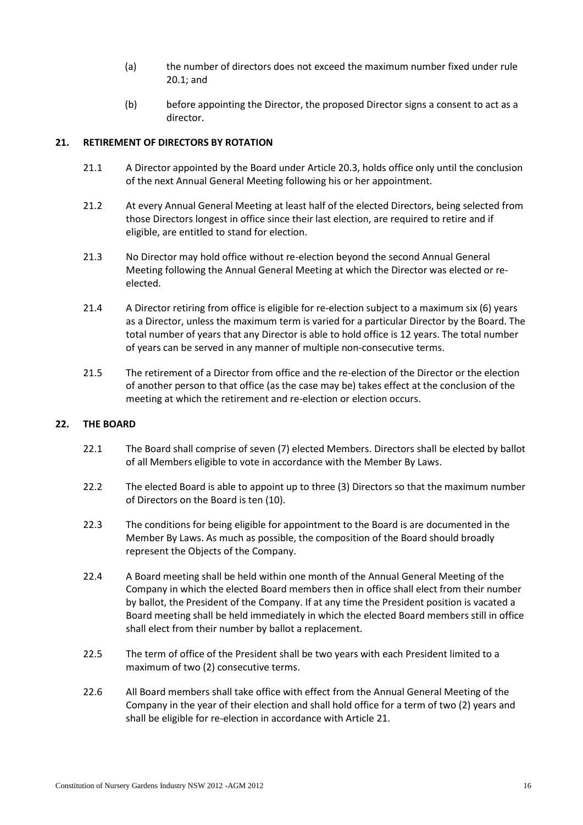- (a) the number of directors does not exceed the maximum number fixed under rule [20.1;](#page-14-4) and
- (b) before appointing the Director, the proposed Director signs a consent to act as a director.

### <span id="page-15-2"></span><span id="page-15-0"></span>**21. RETIREMENT OF DIRECTORS BY ROTATION**

- 21.1 A Director appointed by the Board under Article [20.3,](#page-14-5) holds office only until the conclusion of the next Annual General Meeting following his or her appointment.
- 21.2 At every Annual General Meeting at least half of the elected Directors, being selected from those Directors longest in office since their last election, are required to retire and if eligible, are entitled to stand for election.
- 21.3 No Director may hold office without re-election beyond the second Annual General Meeting following the Annual General Meeting at which the Director was elected or reelected.
- 21.4 A Director retiring from office is eligible for re-election subject to a maximum six (6) years as a Director, unless the maximum term is varied for a particular Director by the Board. The total number of years that any Director is able to hold office is 12 years. The total number of years can be served in any manner of multiple non-consecutive terms.
- 21.5 The retirement of a Director from office and the re-election of the Director or the election of another person to that office (as the case may be) takes effect at the conclusion of the meeting at which the retirement and re-election or election occurs.

### <span id="page-15-1"></span>**22. THE BOARD**

- 22.1 The Board shall comprise of seven (7) elected Members. Directors shall be elected by ballot of all Members eligible to vote in accordance with the Member By Laws.
- 22.2 The elected Board is able to appoint up to three (3) Directors so that the maximum number of Directors on the Board is ten (10).
- 22.3 The conditions for being eligible for appointment to the Board is are documented in the Member By Laws. As much as possible, the composition of the Board should broadly represent the Objects of the Company.
- 22.4 A Board meeting shall be held within one month of the Annual General Meeting of the Company in which the elected Board members then in office shall elect from their number by ballot, the President of the Company. If at any time the President position is vacated a Board meeting shall be held immediately in which the elected Board members still in office shall elect from their number by ballot a replacement.
- 22.5 The term of office of the President shall be two years with each President limited to a maximum of two (2) consecutive terms.
- 22.6 All Board members shall take office with effect from the Annual General Meeting of the Company in the year of their election and shall hold office for a term of two (2) years and shall be eligible for re-election in accordance with Articl[e 21.](#page-15-0)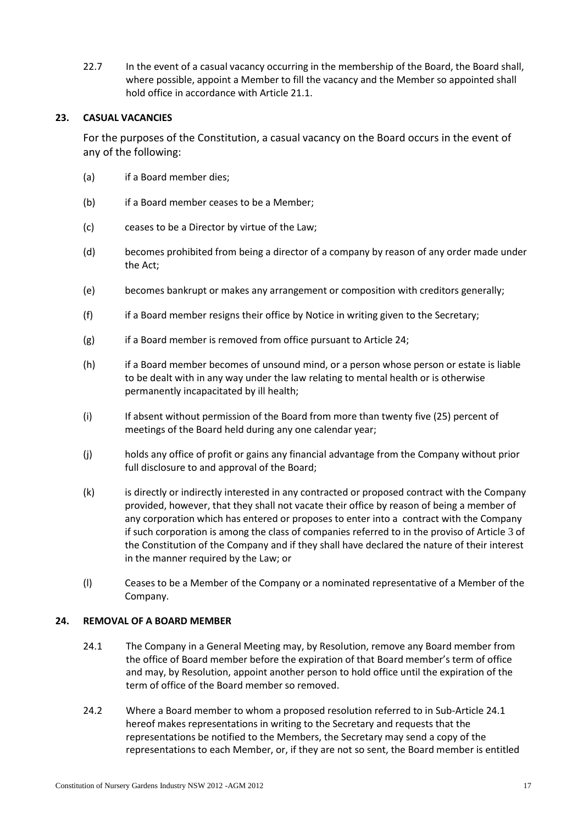22.7 In the event of a casual vacancy occurring in the membership of the Board, the Board shall, where possible, appoint a Member to fill the vacancy and the Member so appointed shall hold office in accordance with Article [21.1.](#page-15-2)

### <span id="page-16-0"></span>**23. CASUAL VACANCIES**

For the purposes of the Constitution, a casual vacancy on the Board occurs in the event of any of the following:

- (a) if a Board member dies;
- (b) if a Board member ceases to be a Member;
- (c) ceases to be a Director by virtue of the Law;
- (d) becomes prohibited from being a director of a company by reason of any order made under the Act;
- (e) becomes bankrupt or makes any arrangement or composition with creditors generally;
- (f) if a Board member resigns their office by Notice in writing given to the Secretary;
- (g) if a Board member is removed from office pursuant to Articl[e 24;](#page-16-1)
- (h) if a Board member becomes of unsound mind, or a person whose person or estate is liable to be dealt with in any way under the law relating to mental health or is otherwise permanently incapacitated by ill health;
- (i) If absent without permission of the Board from more than twenty five (25) percent of meetings of the Board held during any one calendar year;
- (j) holds any office of profit or gains any financial advantage from the Company without prior full disclosure to and approval of the Board;
- (k) is directly or indirectly interested in any contracted or proposed contract with the Company provided, however, that they shall not vacate their office by reason of being a member of any corporation which has entered or proposes to enter into a contract with the Company if such corporation is among the class of companies referred to in the proviso of Article [3](#page-2-2) of the Constitution of the Company and if they shall have declared the nature of their interest in the manner required by the Law; or
- (l) Ceases to be a Member of the Company or a nominated representative of a Member of the Company.

### <span id="page-16-2"></span><span id="page-16-1"></span>**24. REMOVAL OF A BOARD MEMBER**

- 24.1 The Company in a General Meeting may, by Resolution, remove any Board member from the office of Board member before the expiration of that Board member's term of office and may, by Resolution, appoint another person to hold office until the expiration of the term of office of the Board member so removed.
- 24.2 Where a Board member to whom a proposed resolution referred to in Sub-Articl[e 24.1](#page-16-2) hereof makes representations in writing to the Secretary and requests that the representations be notified to the Members, the Secretary may send a copy of the representations to each Member, or, if they are not so sent, the Board member is entitled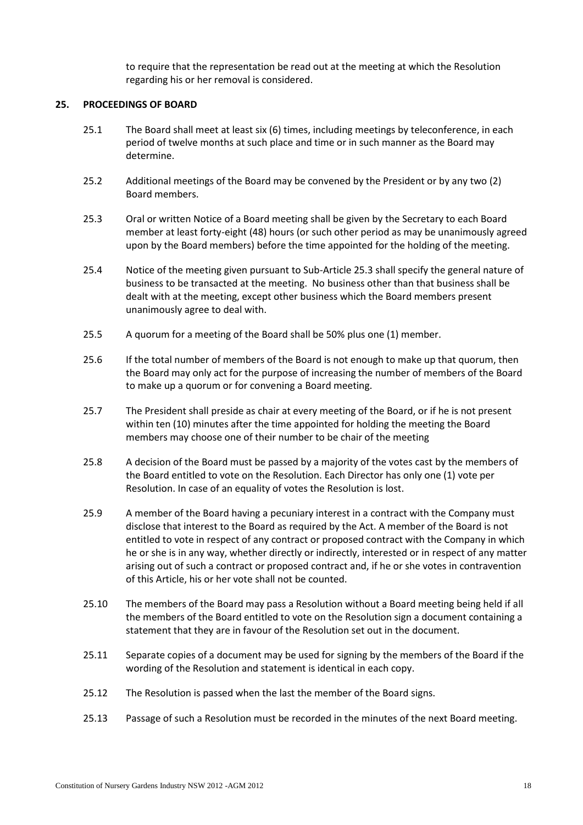to require that the representation be read out at the meeting at which the Resolution regarding his or her removal is considered.

### <span id="page-17-0"></span>**25. PROCEEDINGS OF BOARD**

- 25.1 The Board shall meet at least six (6) times, including meetings by teleconference, in each period of twelve months at such place and time or in such manner as the Board may determine.
- 25.2 Additional meetings of the Board may be convened by the President or by any two (2) Board members.
- <span id="page-17-1"></span>25.3 Oral or written Notice of a Board meeting shall be given by the Secretary to each Board member at least forty-eight (48) hours (or such other period as may be unanimously agreed upon by the Board members) before the time appointed for the holding of the meeting.
- 25.4 Notice of the meeting given pursuant to Sub-Articl[e 25.3](#page-17-1) shall specify the general nature of business to be transacted at the meeting. No business other than that business shall be dealt with at the meeting, except other business which the Board members present unanimously agree to deal with.
- 25.5 A quorum for a meeting of the Board shall be 50% plus one (1) member.
- 25.6 If the total number of members of the Board is not enough to make up that quorum, then the Board may only act for the purpose of increasing the number of members of the Board to make up a quorum or for convening a Board meeting.
- 25.7 The President shall preside as chair at every meeting of the Board, or if he is not present within ten (10) minutes after the time appointed for holding the meeting the Board members may choose one of their number to be chair of the meeting
- 25.8 A decision of the Board must be passed by a majority of the votes cast by the members of the Board entitled to vote on the Resolution. Each Director has only one (1) vote per Resolution. In case of an equality of votes the Resolution is lost.
- 25.9 A member of the Board having a pecuniary interest in a contract with the Company must disclose that interest to the Board as required by the Act. A member of the Board is not entitled to vote in respect of any contract or proposed contract with the Company in which he or she is in any way, whether directly or indirectly, interested or in respect of any matter arising out of such a contract or proposed contract and, if he or she votes in contravention of this Article, his or her vote shall not be counted.
- 25.10 The members of the Board may pass a Resolution without a Board meeting being held if all the members of the Board entitled to vote on the Resolution sign a document containing a statement that they are in favour of the Resolution set out in the document.
- 25.11 Separate copies of a document may be used for signing by the members of the Board if the wording of the Resolution and statement is identical in each copy.
- 25.12 The Resolution is passed when the last the member of the Board signs.
- 25.13 Passage of such a Resolution must be recorded in the minutes of the next Board meeting.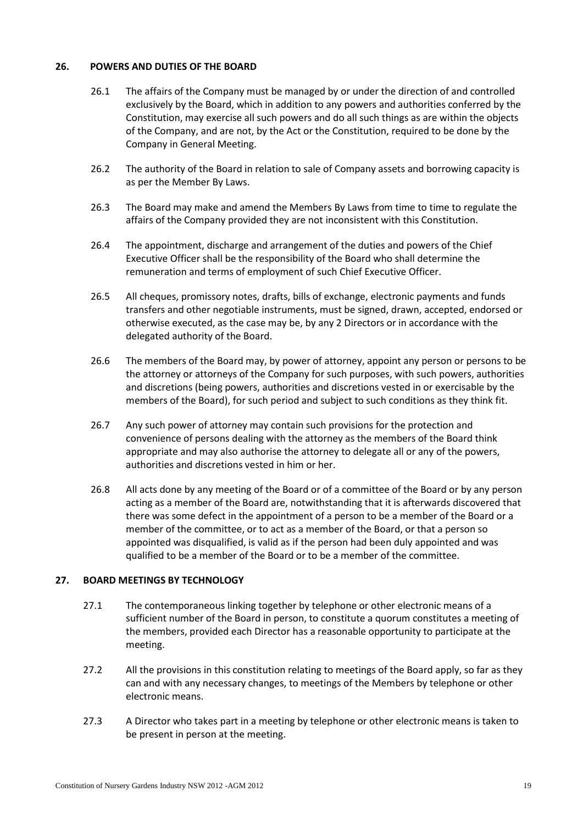### <span id="page-18-0"></span>**26. POWERS AND DUTIES OF THE BOARD**

- 26.1 The affairs of the Company must be managed by or under the direction of and controlled exclusively by the Board, which in addition to any powers and authorities conferred by the Constitution, may exercise all such powers and do all such things as are within the objects of the Company, and are not, by the Act or the Constitution, required to be done by the Company in General Meeting.
- 26.2 The authority of the Board in relation to sale of Company assets and borrowing capacity is as per the Member By Laws.
- 26.3 The Board may make and amend the Members By Laws from time to time to regulate the affairs of the Company provided they are not inconsistent with this Constitution.
- 26.4 The appointment, discharge and arrangement of the duties and powers of the Chief Executive Officer shall be the responsibility of the Board who shall determine the remuneration and terms of employment of such Chief Executive Officer.
- 26.5 All cheques, promissory notes, drafts, bills of exchange, electronic payments and funds transfers and other negotiable instruments, must be signed, drawn, accepted, endorsed or otherwise executed, as the case may be, by any 2 Directors or in accordance with the delegated authority of the Board.
- 26.6 The members of the Board may, by power of attorney, appoint any person or persons to be the attorney or attorneys of the Company for such purposes, with such powers, authorities and discretions (being powers, authorities and discretions vested in or exercisable by the members of the Board), for such period and subject to such conditions as they think fit.
- 26.7 Any such power of attorney may contain such provisions for the protection and convenience of persons dealing with the attorney as the members of the Board think appropriate and may also authorise the attorney to delegate all or any of the powers, authorities and discretions vested in him or her.
- 26.8 All acts done by any meeting of the Board or of a committee of the Board or by any person acting as a member of the Board are, notwithstanding that it is afterwards discovered that there was some defect in the appointment of a person to be a member of the Board or a member of the committee, or to act as a member of the Board, or that a person so appointed was disqualified, is valid as if the person had been duly appointed and was qualified to be a member of the Board or to be a member of the committee.

### <span id="page-18-1"></span>**27. BOARD MEETINGS BY TECHNOLOGY**

- 27.1 The contemporaneous linking together by telephone or other electronic means of a sufficient number of the Board in person, to constitute a quorum constitutes a meeting of the members, provided each Director has a reasonable opportunity to participate at the meeting.
- 27.2 All the provisions in this constitution relating to meetings of the Board apply, so far as they can and with any necessary changes, to meetings of the Members by telephone or other electronic means.
- 27.3 A Director who takes part in a meeting by telephone or other electronic means is taken to be present in person at the meeting.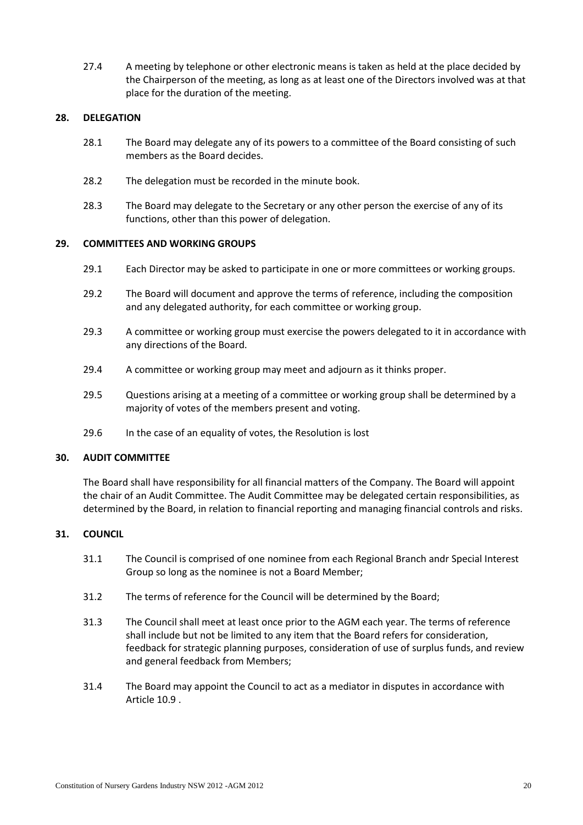27.4 A meeting by telephone or other electronic means is taken as held at the place decided by the Chairperson of the meeting, as long as at least one of the Directors involved was at that place for the duration of the meeting.

### <span id="page-19-0"></span>**28. DELEGATION**

- 28.1 The Board may delegate any of its powers to a committee of the Board consisting of such members as the Board decides.
- 28.2 The delegation must be recorded in the minute book.
- 28.3 The Board may delegate to the Secretary or any other person the exercise of any of its functions, other than this power of delegation.

### <span id="page-19-1"></span>**29. COMMITTEES AND WORKING GROUPS**

- 29.1 Each Director may be asked to participate in one or more committees or working groups.
- 29.2 The Board will document and approve the terms of reference, including the composition and any delegated authority, for each committee or working group.
- 29.3 A committee or working group must exercise the powers delegated to it in accordance with any directions of the Board.
- 29.4 A committee or working group may meet and adjourn as it thinks proper.
- 29.5 Questions arising at a meeting of a committee or working group shall be determined by a majority of votes of the members present and voting.
- 29.6 In the case of an equality of votes, the Resolution is lost

### <span id="page-19-2"></span>**30. AUDIT COMMITTEE**

The Board shall have responsibility for all financial matters of the Company. The Board will appoint the chair of an Audit Committee. The Audit Committee may be delegated certain responsibilities, as determined by the Board, in relation to financial reporting and managing financial controls and risks.

### <span id="page-19-3"></span>**31. COUNCIL**

- 31.1 The Council is comprised of one nominee from each Regional Branch andr Special Interest Group so long as the nominee is not a Board Member;
- 31.2 The terms of reference for the Council will be determined by the Board;
- 31.3 The Council shall meet at least once prior to the AGM each year. The terms of reference shall include but not be limited to any item that the Board refers for consideration, feedback for strategic planning purposes, consideration of use of surplus funds, and review and general feedback from Members;
- 31.4 The Board may appoint the Council to act as a mediator in disputes in accordance with Article [10.9](#page-9-2) .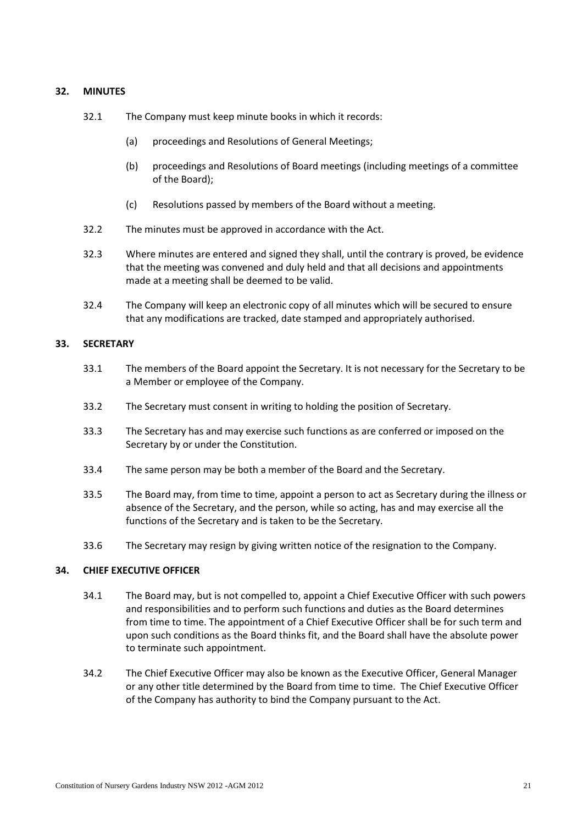### <span id="page-20-0"></span>**32. MINUTES**

- 32.1 The Company must keep minute books in which it records:
	- (a) proceedings and Resolutions of General Meetings;
	- (b) proceedings and Resolutions of Board meetings (including meetings of a committee of the Board);
	- (c) Resolutions passed by members of the Board without a meeting.
- 32.2 The minutes must be approved in accordance with the Act.
- 32.3 Where minutes are entered and signed they shall, until the contrary is proved, be evidence that the meeting was convened and duly held and that all decisions and appointments made at a meeting shall be deemed to be valid.
- 32.4 The Company will keep an electronic copy of all minutes which will be secured to ensure that any modifications are tracked, date stamped and appropriately authorised.

### <span id="page-20-1"></span>**33. SECRETARY**

- 33.1 The members of the Board appoint the Secretary. It is not necessary for the Secretary to be a Member or employee of the Company.
- 33.2 The Secretary must consent in writing to holding the position of Secretary.
- 33.3 The Secretary has and may exercise such functions as are conferred or imposed on the Secretary by or under the Constitution.
- 33.4 The same person may be both a member of the Board and the Secretary.
- 33.5 The Board may, from time to time, appoint a person to act as Secretary during the illness or absence of the Secretary, and the person, while so acting, has and may exercise all the functions of the Secretary and is taken to be the Secretary.
- 33.6 The Secretary may resign by giving written notice of the resignation to the Company.

### <span id="page-20-2"></span>**34. CHIEF EXECUTIVE OFFICER**

- 34.1 The Board may, but is not compelled to, appoint a Chief Executive Officer with such powers and responsibilities and to perform such functions and duties as the Board determines from time to time. The appointment of a Chief Executive Officer shall be for such term and upon such conditions as the Board thinks fit, and the Board shall have the absolute power to terminate such appointment.
- 34.2 The Chief Executive Officer may also be known as the Executive Officer, General Manager or any other title determined by the Board from time to time. The Chief Executive Officer of the Company has authority to bind the Company pursuant to the Act.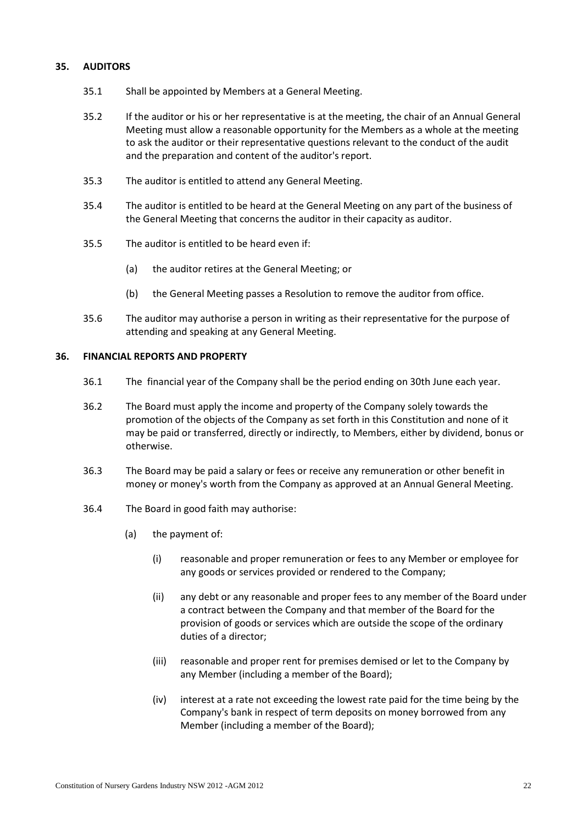### <span id="page-21-0"></span>**35. AUDITORS**

- 35.1 Shall be appointed by Members at a General Meeting.
- 35.2 If the auditor or his or her representative is at the meeting, the chair of an Annual General Meeting must allow a reasonable opportunity for the Members as a whole at the meeting to ask the auditor or their representative questions relevant to the conduct of the audit and the preparation and content of the auditor's report.
- 35.3 The auditor is entitled to attend any General Meeting.
- 35.4 The auditor is entitled to be heard at the General Meeting on any part of the business of the General Meeting that concerns the auditor in their capacity as auditor.
- 35.5 The auditor is entitled to be heard even if:
	- (a) the auditor retires at the General Meeting; or
	- (b) the General Meeting passes a Resolution to remove the auditor from office.
- 35.6 The auditor may authorise a person in writing as their representative for the purpose of attending and speaking at any General Meeting.

### <span id="page-21-2"></span><span id="page-21-1"></span>**36. FINANCIAL REPORTS AND PROPERTY**

- 36.1 The financial year of the Company shall be the period ending on 30th June each year.
- 36.2 The Board must apply the income and property of the Company solely towards the promotion of the objects of the Company as set forth in this Constitution and none of it may be paid or transferred, directly or indirectly, to Members, either by dividend, bonus or otherwise.
- 36.3 The Board may be paid a salary or fees or receive any remuneration or other benefit in money or money's worth from the Company as approved at an Annual General Meeting.
- 36.4 The Board in good faith may authorise:
	- (a) the payment of:
		- (i) reasonable and proper remuneration or fees to any Member or employee for any goods or services provided or rendered to the Company;
		- (ii) any debt or any reasonable and proper fees to any member of the Board under a contract between the Company and that member of the Board for the provision of goods or services which are outside the scope of the ordinary duties of a director;
		- (iii) reasonable and proper rent for premises demised or let to the Company by any Member (including a member of the Board);
		- (iv) interest at a rate not exceeding the lowest rate paid for the time being by the Company's bank in respect of term deposits on money borrowed from any Member (including a member of the Board);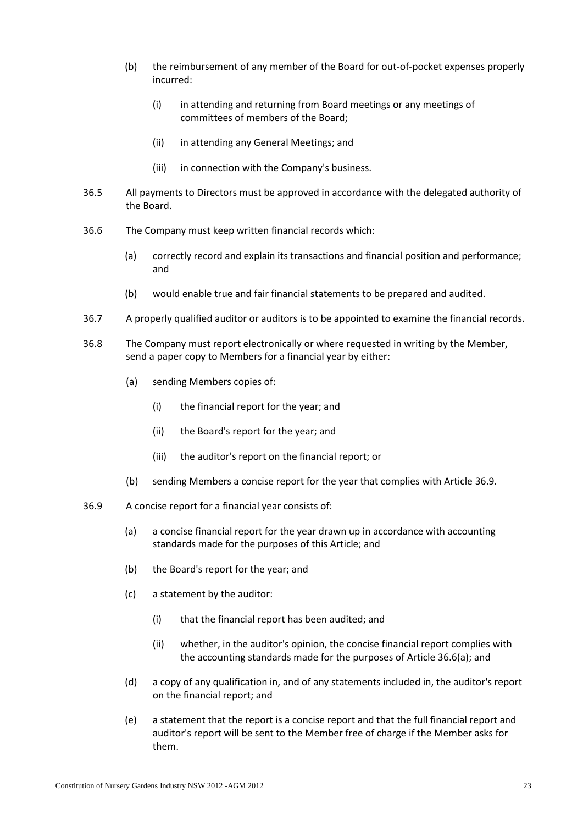- (b) the reimbursement of any member of the Board for out-of-pocket expenses properly incurred:
	- (i) in attending and returning from Board meetings or any meetings of committees of members of the Board;
	- (ii) in attending any General Meetings; and
	- (iii) in connection with the Company's business.
- 36.5 All payments to Directors must be approved in accordance with the delegated authority of the Board.
- <span id="page-22-1"></span>36.6 The Company must keep written financial records which:
	- (a) correctly record and explain its transactions and financial position and performance; and
	- (b) would enable true and fair financial statements to be prepared and audited.
- 36.7 A properly qualified auditor or auditors is to be appointed to examine the financial records.
- <span id="page-22-2"></span>36.8 The Company must report electronically or where requested in writing by the Member, send a paper copy to Members for a financial year by either:
	- (a) sending Members copies of:
		- (i) the financial report for the year; and
		- (ii) the Board's report for the year; and
		- (iii) the auditor's report on the financial report; or
	- (b) sending Members a concise report for the year that complies with Article [36.9.](#page-22-0)
- <span id="page-22-0"></span>36.9 A concise report for a financial year consists of:
	- (a) a concise financial report for the year drawn up in accordance with accounting standards made for the purposes of this Article; and
	- (b) the Board's report for the year; and
	- (c) a statement by the auditor:
		- (i) that the financial report has been audited; and
		- (ii) whether, in the auditor's opinion, the concise financial report complies with the accounting standards made for the purposes of Article [36.6\(a\);](#page-22-1) and
	- (d) a copy of any qualification in, and of any statements included in, the auditor's report on the financial report; and
	- (e) a statement that the report is a concise report and that the full financial report and auditor's report will be sent to the Member free of charge if the Member asks for them.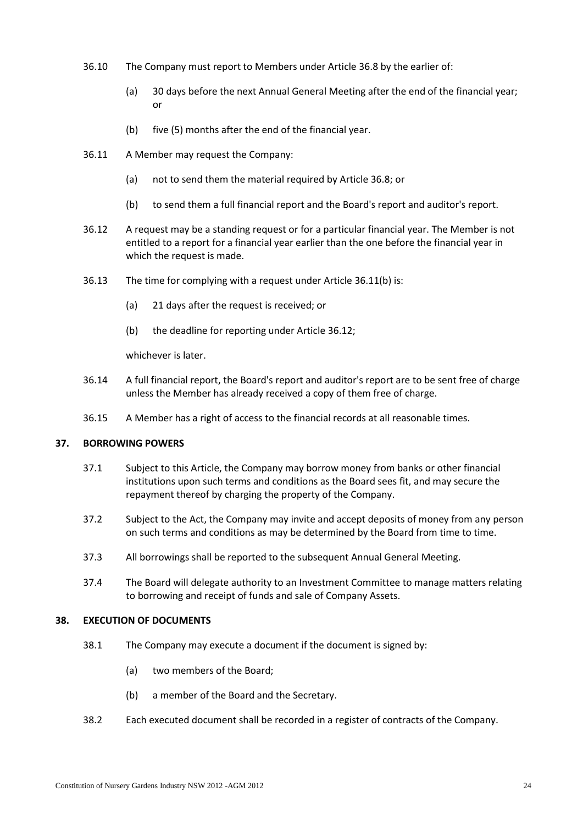- 36.10 The Company must report to Members under Articl[e 36.8](#page-22-2) by the earlier of:
	- (a) 30 days before the next Annual General Meeting after the end of the financial year; or
	- (b) five (5) months after the end of the financial year.
- 36.11 A Member may request the Company:
	- (a) not to send them the material required by Articl[e 36.8;](#page-22-2) or
	- (b) to send them a full financial report and the Board's report and auditor's report.
- <span id="page-23-3"></span><span id="page-23-2"></span>36.12 A request may be a standing request or for a particular financial year. The Member is not entitled to a report for a financial year earlier than the one before the financial year in which the request is made.
- 36.13 The time for complying with a request under Article [36.11\(b\)](#page-23-2) is:
	- (a) 21 days after the request is received; or
	- (b) the deadline for reporting under Article [36.12;](#page-23-3)

whichever is later.

- 36.14 A full financial report, the Board's report and auditor's report are to be sent free of charge unless the Member has already received a copy of them free of charge.
- 36.15 A Member has a right of access to the financial records at all reasonable times.

### <span id="page-23-0"></span>**37. BORROWING POWERS**

- 37.1 Subject to this Article, the Company may borrow money from banks or other financial institutions upon such terms and conditions as the Board sees fit, and may secure the repayment thereof by charging the property of the Company.
- 37.2 Subject to the Act, the Company may invite and accept deposits of money from any person on such terms and conditions as may be determined by the Board from time to time.
- 37.3 All borrowings shall be reported to the subsequent Annual General Meeting.
- 37.4 The Board will delegate authority to an Investment Committee to manage matters relating to borrowing and receipt of funds and sale of Company Assets.

### <span id="page-23-4"></span><span id="page-23-1"></span>**38. EXECUTION OF DOCUMENTS**

- 38.1 The Company may execute a document if the document is signed by:
	- (a) two members of the Board;
	- (b) a member of the Board and the Secretary.
- 38.2 Each executed document shall be recorded in a register of contracts of the Company.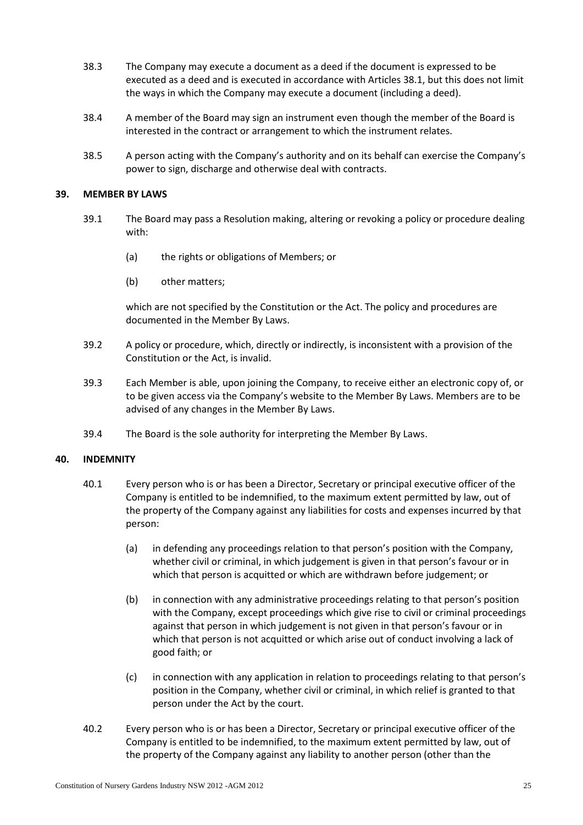- 38.3 The Company may execute a document as a deed if the document is expressed to be executed as a deed and is executed in accordance with Articles [38.1,](#page-23-4) but this does not limit the ways in which the Company may execute a document (including a deed).
- 38.4 A member of the Board may sign an instrument even though the member of the Board is interested in the contract or arrangement to which the instrument relates.
- 38.5 A person acting with the Company's authority and on its behalf can exercise the Company's power to sign, discharge and otherwise deal with contracts.

### <span id="page-24-0"></span>**39. MEMBER BY LAWS**

- 39.1 The Board may pass a Resolution making, altering or revoking a policy or procedure dealing with:
	- (a) the rights or obligations of Members; or
	- (b) other matters;

which are not specified by the Constitution or the Act. The policy and procedures are documented in the Member By Laws.

- 39.2 A policy or procedure, which, directly or indirectly, is inconsistent with a provision of the Constitution or the Act, is invalid.
- 39.3 Each Member is able, upon joining the Company, to receive either an electronic copy of, or to be given access via the Company's website to the Member By Laws. Members are to be advised of any changes in the Member By Laws.
- 39.4 The Board is the sole authority for interpreting the Member By Laws.

### <span id="page-24-1"></span>**40. INDEMNITY**

- 40.1 Every person who is or has been a Director, Secretary or principal executive officer of the Company is entitled to be indemnified, to the maximum extent permitted by law, out of the property of the Company against any liabilities for costs and expenses incurred by that person:
	- (a) in defending any proceedings relation to that person's position with the Company, whether civil or criminal, in which judgement is given in that person's favour or in which that person is acquitted or which are withdrawn before judgement; or
	- (b) in connection with any administrative proceedings relating to that person's position with the Company, except proceedings which give rise to civil or criminal proceedings against that person in which judgement is not given in that person's favour or in which that person is not acquitted or which arise out of conduct involving a lack of good faith; or
	- (c) in connection with any application in relation to proceedings relating to that person's position in the Company, whether civil or criminal, in which relief is granted to that person under the Act by the court.
- 40.2 Every person who is or has been a Director, Secretary or principal executive officer of the Company is entitled to be indemnified, to the maximum extent permitted by law, out of the property of the Company against any liability to another person (other than the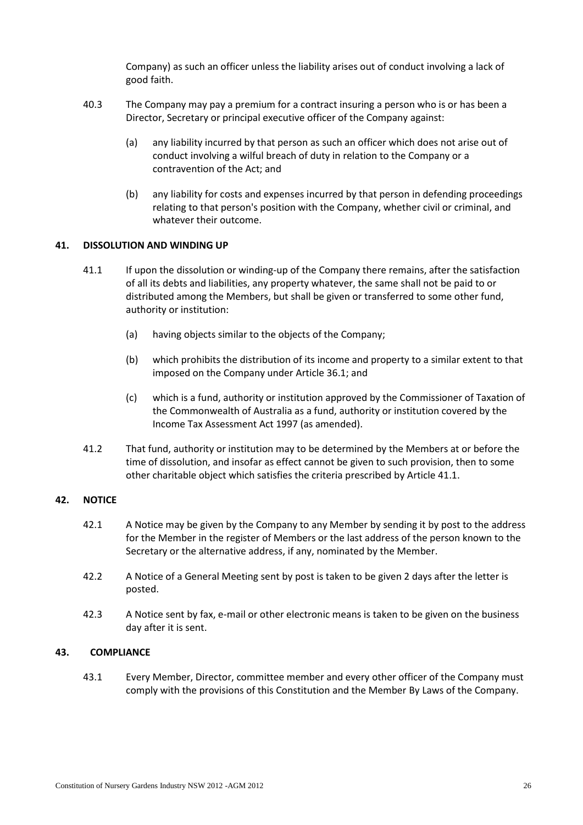Company) as such an officer unless the liability arises out of conduct involving a lack of good faith.

- 40.3 The Company may pay a premium for a contract insuring a person who is or has been a Director, Secretary or principal executive officer of the Company against:
	- (a) any liability incurred by that person as such an officer which does not arise out of conduct involving a wilful breach of duty in relation to the Company or a contravention of the Act; and
	- (b) any liability for costs and expenses incurred by that person in defending proceedings relating to that person's position with the Company, whether civil or criminal, and whatever their outcome.

### <span id="page-25-3"></span><span id="page-25-0"></span>**41. DISSOLUTION AND WINDING UP**

- 41.1 If upon the dissolution or winding-up of the Company there remains, after the satisfaction of all its debts and liabilities, any property whatever, the same shall not be paid to or distributed among the Members, but shall be given or transferred to some other fund, authority or institution:
	- (a) having objects similar to the objects of the Company;
	- (b) which prohibits the distribution of its income and property to a similar extent to that imposed on the Company under Article [36.1;](#page-21-2) and
	- (c) which is a fund, authority or institution approved by the Commissioner of Taxation of the Commonwealth of Australia as a fund, authority or institution covered by the Income Tax Assessment Act 1997 (as amended).
- 41.2 That fund, authority or institution may to be determined by the Members at or before the time of dissolution, and insofar as effect cannot be given to such provision, then to some other charitable object which satisfies the criteria prescribed by Article [41.1.](#page-25-3)

### <span id="page-25-1"></span>**42. NOTICE**

- 42.1 A Notice may be given by the Company to any Member by sending it by post to the address for the Member in the register of Members or the last address of the person known to the Secretary or the alternative address, if any, nominated by the Member.
- 42.2 A Notice of a General Meeting sent by post is taken to be given 2 days after the letter is posted.
- 42.3 A Notice sent by fax, e-mail or other electronic means is taken to be given on the business day after it is sent.

### <span id="page-25-2"></span>**43. COMPLIANCE**

43.1 Every Member, Director, committee member and every other officer of the Company must comply with the provisions of this Constitution and the Member By Laws of the Company.